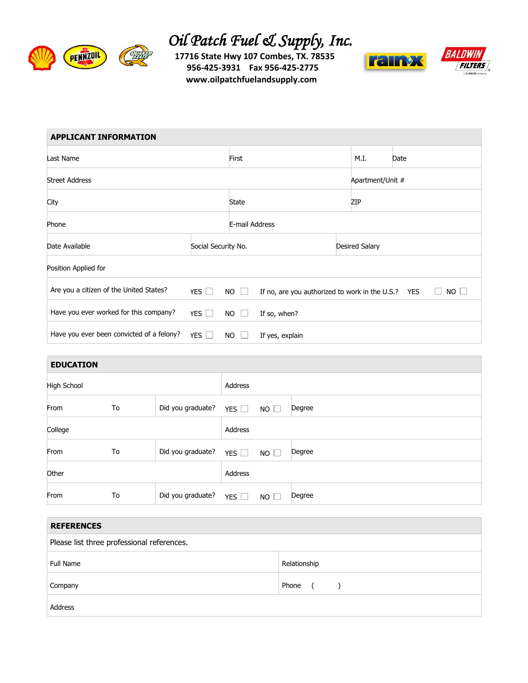

## *Oil Patch Fuel & Supply, Inc.*<br>
17716 State Hwy 107 Combes, TX. 78535

 **17716 State Hwy 107 Combes, TX. 78535 956-425-3931 Fax 956-425-2775 www.oilpatchfuelandsupply.com**



| <b>APPLICANT INFORMATION</b>              |                     |             |                                                    |                       |                  |           |  |
|-------------------------------------------|---------------------|-------------|----------------------------------------------------|-----------------------|------------------|-----------|--|
| Last Name                                 |                     |             |                                                    | M.I.                  | Date             |           |  |
| <b>Street Address</b>                     |                     |             |                                                    |                       | Apartment/Unit # |           |  |
| City                                      |                     |             |                                                    | ZIP                   |                  |           |  |
| Phone                                     |                     |             | E-mail Address                                     |                       |                  |           |  |
| Date Available                            | Social Security No. |             |                                                    | <b>Desired Salary</b> |                  |           |  |
| Position Applied for                      |                     |             |                                                    |                       |                  |           |  |
| Are you a citizen of the United States?   | $YES$ $\Box$        | $NO$ $\Box$ | If no, are you authorized to work in the U.S.? YES |                       |                  | $NO \Box$ |  |
| Have you ever worked for this company?    | YES $\Box$          | NO.         | If so, when?                                       |                       |                  |           |  |
| Have you ever been convicted of a felony? | YES $\Box$          | NO          | If yes, explain                                    |                       |                  |           |  |

## **EDUCATION**

| ---------   |    |                         |               |      |        |
|-------------|----|-------------------------|---------------|------|--------|
| High School |    |                         | Address       |      |        |
| From        | To | Did you graduate?       | YES $\Box$    | NO   | Degree |
| College     |    |                         | Address       |      |        |
| From        | To | Did you graduate? $YES$ |               | NO   | Degree |
| Other       |    |                         | Address       |      |        |
| From        | To | Did you graduate?       | YES $\square$ | NO [ | Degree |

| <b>REFERENCES</b>                          |                     |  |  |  |  |
|--------------------------------------------|---------------------|--|--|--|--|
| Please list three professional references. |                     |  |  |  |  |
| Full Name                                  | Relationship        |  |  |  |  |
| Company                                    | Phone<br>$\sqrt{2}$ |  |  |  |  |
| Address                                    |                     |  |  |  |  |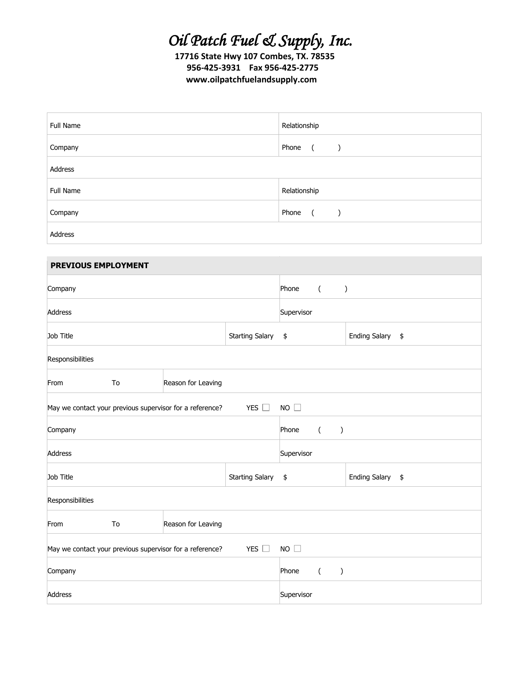## *Oil Patch Fuel & Supply, Inc.*

 **17716 State Hwy 107 Combes, TX. 78535 956-425-3931 Fax 956-425-2775 www.oilpatchfuelandsupply.com**

| Full Name | Relationship                               |
|-----------|--------------------------------------------|
| Company   | Phone<br>$\sqrt{2}$<br>$\rightarrow$       |
| Address   |                                            |
| Full Name | Relationship                               |
| Company   | Phone<br>$\overline{a}$ (<br>$\rightarrow$ |
| Address   |                                            |

| <b>PREVIOUS EMPLOYMENT</b>                                                      |    |                    |                                |       |                                   |                  |  |
|---------------------------------------------------------------------------------|----|--------------------|--------------------------------|-------|-----------------------------------|------------------|--|
| Company                                                                         |    |                    | $\left($<br>Phone<br>$\lambda$ |       |                                   |                  |  |
| Address                                                                         |    |                    | Supervisor                     |       |                                   |                  |  |
| Job Title                                                                       |    |                    | <b>Starting Salary</b>         | \$    |                                   | Ending Salary \$ |  |
| Responsibilities                                                                |    |                    |                                |       |                                   |                  |  |
| From                                                                            | To | Reason for Leaving |                                |       |                                   |                  |  |
| YES $\square$<br>NO<br>May we contact your previous supervisor for a reference? |    |                    |                                |       |                                   |                  |  |
| Company                                                                         |    |                    |                                | Phone | $\overline{(\ }$<br>$\big)$       |                  |  |
| Address                                                                         |    |                    | Supervisor                     |       |                                   |                  |  |
| Job Title                                                                       |    |                    | <b>Starting Salary</b>         | \$    |                                   | Ending Salary \$ |  |
| Responsibilities                                                                |    |                    |                                |       |                                   |                  |  |
| From                                                                            | To | Reason for Leaving |                                |       |                                   |                  |  |
| YES $\square$<br>NO<br>May we contact your previous supervisor for a reference? |    |                    |                                |       |                                   |                  |  |
| Company                                                                         |    |                    |                                | Phone | $\overline{(\ }$<br>$\mathcal{C}$ |                  |  |
| Address                                                                         |    |                    | Supervisor                     |       |                                   |                  |  |